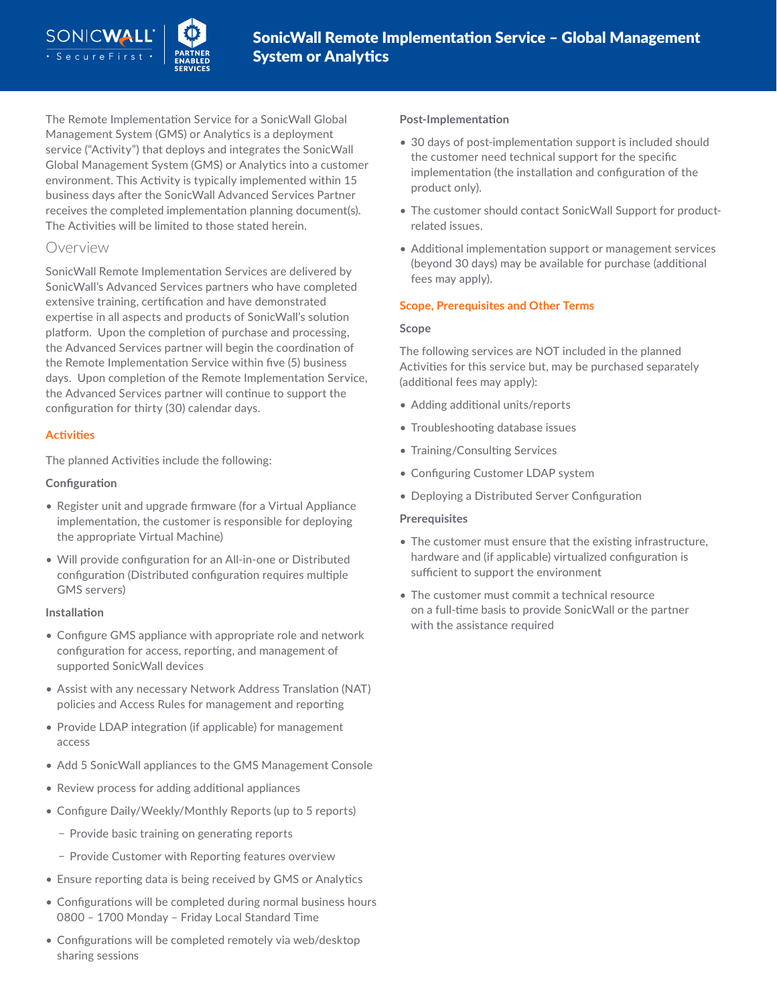The Remote Implementation Service for a SonicWall Global Management System (GMS) or Analytics is a deployment service ("Activity") that deploys and integrates the SonicWall Global Management System (GMS) or Analytics into a customer environment. This Activity is typically implemented within 15 business days after the SonicWall Advanced Services Partner receives the completed implementation planning document(s). The Activities will be limited to those stated herein.

# Overview

SonicWall Remote Implementation Services are delivered by SonicWall's Advanced Services partners who have completed extensive training, certification and have demonstrated expertise in all aspects and products of SonicWall's solution platform. Upon the completion of purchase and processing, the Advanced Services partner will begin the coordination of the Remote Implementation Service within five (5) business days. Upon completion of the Remote Implementation Service, the Advanced Services partner will continue to support the configuration for thirty (30) calendar days.

## **Activities**

The planned Activities include the following:

## **Configuration**

- Register unit and upgrade firmware (for a Virtual Appliance implementation, the customer is responsible for deploying the appropriate Virtual Machine)
- Will provide configuration for an All-in-one or Distributed configuration (Distributed configuration requires multiple GMS servers)

## **Installation**

- Configure GMS appliance with appropriate role and network configuration for access, reporting, and management of supported SonicWall devices
- Assist with any necessary Network Address Translation (NAT) policies and Access Rules for management and reporting
- Provide LDAP integration (if applicable) for management access
- Add 5 SonicWall appliances to the GMS Management Console
- Review process for adding additional appliances
- Configure Daily/Weekly/Monthly Reports (up to 5 reports)
	- − Provide basic training on generating reports
	- − Provide Customer with Reporting features overview
- Ensure reporting data is being received by GMS or Analytics
- Configurations will be completed during normal business hours 0800 – 1700 Monday – Friday Local Standard Time
- Configurations will be completed remotely via web/desktop sharing sessions

## **Post-Implementation**

- 30 days of post-implementation support is included should the customer need technical support for the specific implementation (the installation and configuration of the product only).
- The customer should contact SonicWall Support for productrelated issues.
- Additional implementation support or management services (beyond 30 days) may be available for purchase (additional fees may apply).

## **Scope, Prerequisites and Other Terms**

#### **Scope**

The following services are NOT included in the planned Activities for this service but, may be purchased separately (additional fees may apply):

- Adding additional units/reports
- Troubleshooting database issues
- Training/Consulting Services
- Configuring Customer LDAP system
- Deploying a Distributed Server Configuration

## **Prerequisites**

- The customer must ensure that the existing infrastructure, hardware and (if applicable) virtualized configuration is sufficient to support the environment
- The customer must commit a technical resource on a full-time basis to provide SonicWall or the partner with the assistance required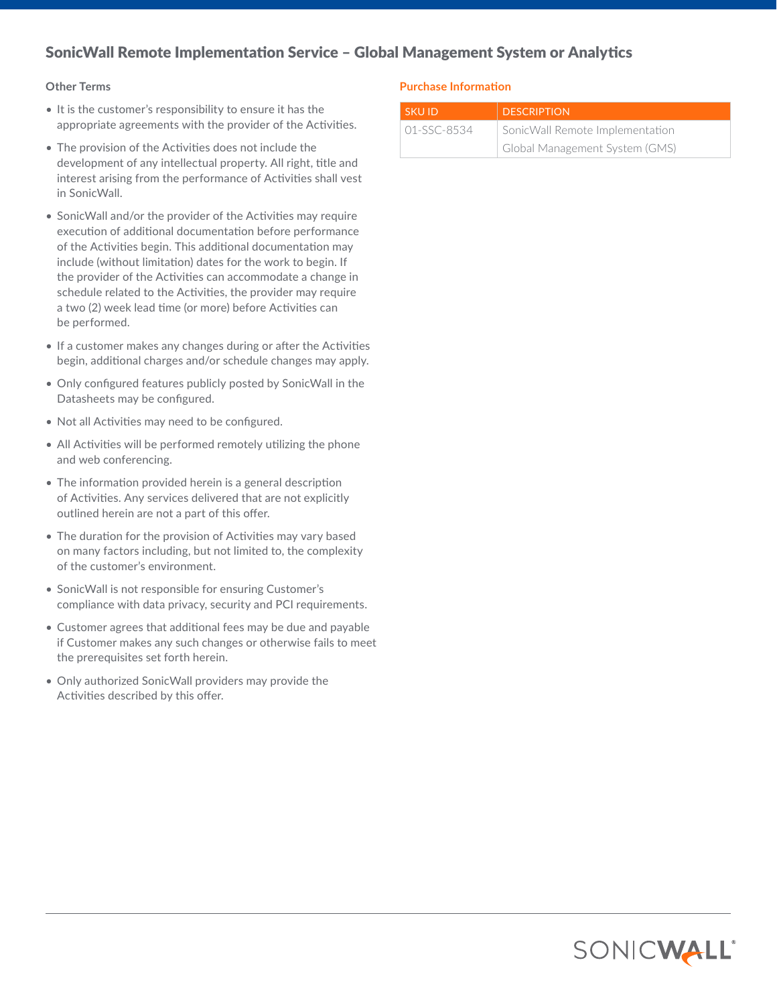# SonicWall Remote Implementation Service – Global Management System or Analytics

#### **Other Terms**

- It is the customer's responsibility to ensure it has the appropriate agreements with the provider of the Activities.
- The provision of the Activities does not include the development of any intellectual property. All right, title and interest arising from the performance of Activities shall vest in SonicWall.
- SonicWall and/or the provider of the Activities may require execution of additional documentation before performance of the Activities begin. This additional documentation may include (without limitation) dates for the work to begin. If the provider of the Activities can accommodate a change in schedule related to the Activities, the provider may require a two (2) week lead time (or more) before Activities can be performed.
- If a customer makes any changes during or after the Activities begin, additional charges and/or schedule changes may apply.
- Only configured features publicly posted by SonicWall in the Datasheets may be configured.
- Not all Activities may need to be configured.
- All Activities will be performed remotely utilizing the phone and web conferencing.
- The information provided herein is a general description of Activities. Any services delivered that are not explicitly outlined herein are not a part of this offer.
- The duration for the provision of Activities may vary based on many factors including, but not limited to, the complexity of the customer's environment.
- SonicWall is not responsible for ensuring Customer's compliance with data privacy, security and PCI requirements.
- Customer agrees that additional fees may be due and payable if Customer makes any such changes or otherwise fails to meet the prerequisites set forth herein.
- Only authorized SonicWall providers may provide the Activities described by this offer.

#### **Purchase Information**

| SKU ID        | <b>DESCRIPTION</b>              |
|---------------|---------------------------------|
| $01-SSC-8534$ | SonicWall Remote Implementation |
|               | Global Management System (GMS)  |